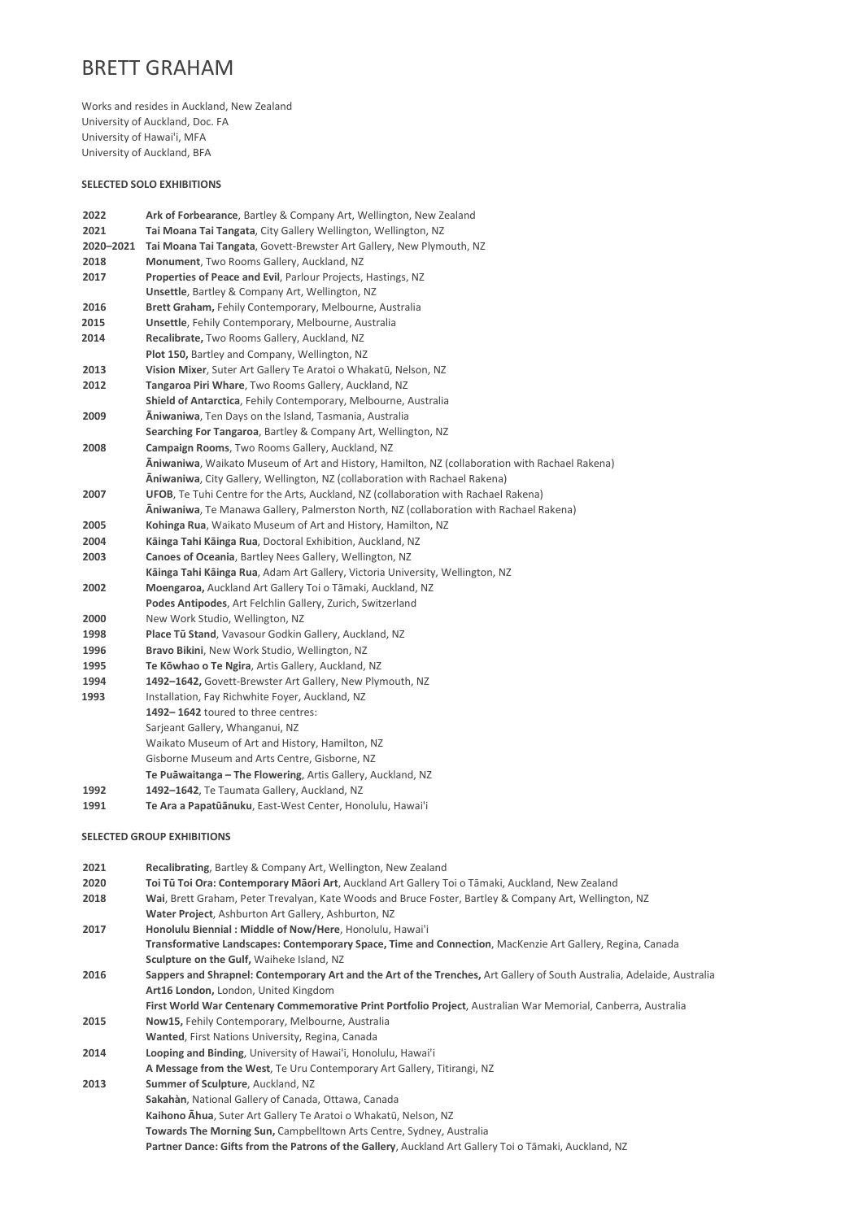## BRETT GRAHAM

Works and resides in Auckland, New Zealand University of Auckland, Doc. FA University of Hawai'i, MFA University of Auckland, BFA

## SELECTED SOLO EXHIBITIONS

| 2022      | <b>Ark of Forbearance, Bartley &amp; Company Art, Wellington, New Zealand</b>                                           |
|-----------|-------------------------------------------------------------------------------------------------------------------------|
| 2021      | Tai Moana Tai Tangata, City Gallery Wellington, Wellington, NZ                                                          |
| 2020-2021 | Tai Moana Tai Tangata, Govett-Brewster Art Gallery, New Plymouth, NZ                                                    |
| 2018      | Monument, Two Rooms Gallery, Auckland, NZ                                                                               |
| 2017      | Properties of Peace and Evil, Parlour Projects, Hastings, NZ                                                            |
|           | <b>Unsettle, Bartley &amp; Company Art, Wellington, NZ</b>                                                              |
| 2016      | <b>Brett Graham, Fehily Contemporary, Melbourne, Australia</b>                                                          |
| 2015      | <b>Unsettle, Fehily Contemporary, Melbourne, Australia</b>                                                              |
| 2014      | Recalibrate, Two Rooms Gallery, Auckland, NZ                                                                            |
|           | Plot 150, Bartley and Company, Wellington, NZ                                                                           |
| 2013      | Vision Mixer, Suter Art Gallery Te Aratoi o Whakatū, Nelson, NZ                                                         |
| 2012      | Tangaroa Piri Whare, Two Rooms Gallery, Auckland, NZ                                                                    |
|           | Shield of Antarctica, Fehily Contemporary, Melbourne, Australia                                                         |
| 2009      | Aniwaniwa, Ten Days on the Island, Tasmania, Australia                                                                  |
|           | Searching For Tangaroa, Bartley & Company Art, Wellington, NZ                                                           |
| 2008      | Campaign Rooms, Two Rooms Gallery, Auckland, NZ                                                                         |
|           | Aniwaniwa, Waikato Museum of Art and History, Hamilton, NZ (collaboration with Rachael Rakena)                          |
|           | Aniwaniwa, City Gallery, Wellington, NZ (collaboration with Rachael Rakena)                                             |
| 2007      | <b>UFOB, Te Tuhi Centre for the Arts, Auckland, NZ (collaboration with Rachael Rakena)</b>                              |
|           | Aniwaniwa, Te Manawa Gallery, Palmerston North, NZ (collaboration with Rachael Rakena)                                  |
| 2005      | Kohinga Rua, Waikato Museum of Art and History, Hamilton, NZ                                                            |
| 2004      | Käinga Tahi Käinga Rua, Doctoral Exhibition, Auckland, NZ                                                               |
| 2003      | Canoes of Oceania, Bartley Nees Gallery, Wellington, NZ                                                                 |
|           | Käinga Tahi Käinga Rua, Adam Art Gallery, Victoria University, Wellington, NZ                                           |
| 2002      | Moengaroa, Auckland Art Gallery Toi o Tāmaki, Auckland, NZ                                                              |
|           | Podes Antipodes, Art Felchlin Gallery, Zurich, Switzerland                                                              |
| 2000      | New Work Studio, Wellington, NZ                                                                                         |
| 1998      | Place Tū Stand, Vavasour Godkin Gallery, Auckland, NZ                                                                   |
| 1996      | Bravo Bikini, New Work Studio, Wellington, NZ                                                                           |
| 1995      | Te Kōwhao o Te Ngira, Artis Gallery, Auckland, NZ                                                                       |
| 1994      | 1492-1642, Govett-Brewster Art Gallery, New Plymouth, NZ                                                                |
| 1993      | Installation, Fay Richwhite Foyer, Auckland, NZ                                                                         |
|           | 1492-1642 toured to three centres:                                                                                      |
|           | Sarjeant Gallery, Whanganui, NZ                                                                                         |
|           | Waikato Museum of Art and History, Hamilton, NZ                                                                         |
|           | Gisborne Museum and Arts Centre, Gisborne, NZ                                                                           |
|           | Te Puāwaitanga - The Flowering, Artis Gallery, Auckland, NZ                                                             |
| 1992      | 1492-1642, Te Taumata Gallery, Auckland, NZ                                                                             |
| 1991      | Te Ara a Papatūānuku, East-West Center, Honolulu, Hawai'i                                                               |
|           |                                                                                                                         |
|           | <b>SELECTED GROUP EXHIBITIONS</b>                                                                                       |
|           |                                                                                                                         |
| 2021      | Recalibrating, Bartley & Company Art, Wellington, New Zealand                                                           |
| 2020      | Toi Tū Toi Ora: Contemporary Māori Art, Auckland Art Gallery Toi o Tāmaki, Auckland, New Zealand                        |
| 2018      | Wai, Brett Graham, Peter Trevalyan, Kate Woods and Bruce Foster, Bartley & Company Art, Wellington, NZ                  |
|           | Water Project, Ashburton Art Gallery, Ashburton, NZ                                                                     |
| 2017      | Honolulu Biennial: Middle of Now/Here, Honolulu, Hawai'i                                                                |
|           | Transformative Landscapes: Contemporary Space, Time and Connection, MacKenzie Art Gallery, Regina, Canada               |
|           | Sculpture on the Gulf, Waiheke Island, NZ                                                                               |
| 2016      | Sappers and Shrapnel: Contemporary Art and the Art of the Trenches, Art Gallery of South Australia, Adelaide, Australia |
|           | Art16 London, London, United Kingdom                                                                                    |
|           | First World War Centenary Commemorative Print Portfolio Project, Australian War Memorial, Canberra, Australia           |
| 2015      | Now15, Fehily Contemporary, Melbourne, Australia                                                                        |
|           | Wanted, First Nations University, Regina, Canada                                                                        |
| 2014      | Looping and Binding, University of Hawai'i, Honolulu, Hawai'i                                                           |
|           |                                                                                                                         |

- A Message from the West, Te Uru Contemporary Art Gallery, Titirangi, NZ
- 2013 Summer of Sculpture, Auckland, NZ
	- Sakahàn, National Gallery of Canada, Ottawa, Canada Kaihono Āhua, Suter Art Gallery Te Aratoi o Whakatū, Nelson, NZ
		- Towards The Morning Sun, Campbelltown Arts Centre, Sydney, Australia
		- Partner Dance: Gifts from the Patrons of the Gallery, Auckland Art Gallery Toi o Tāmaki, Auckland, NZ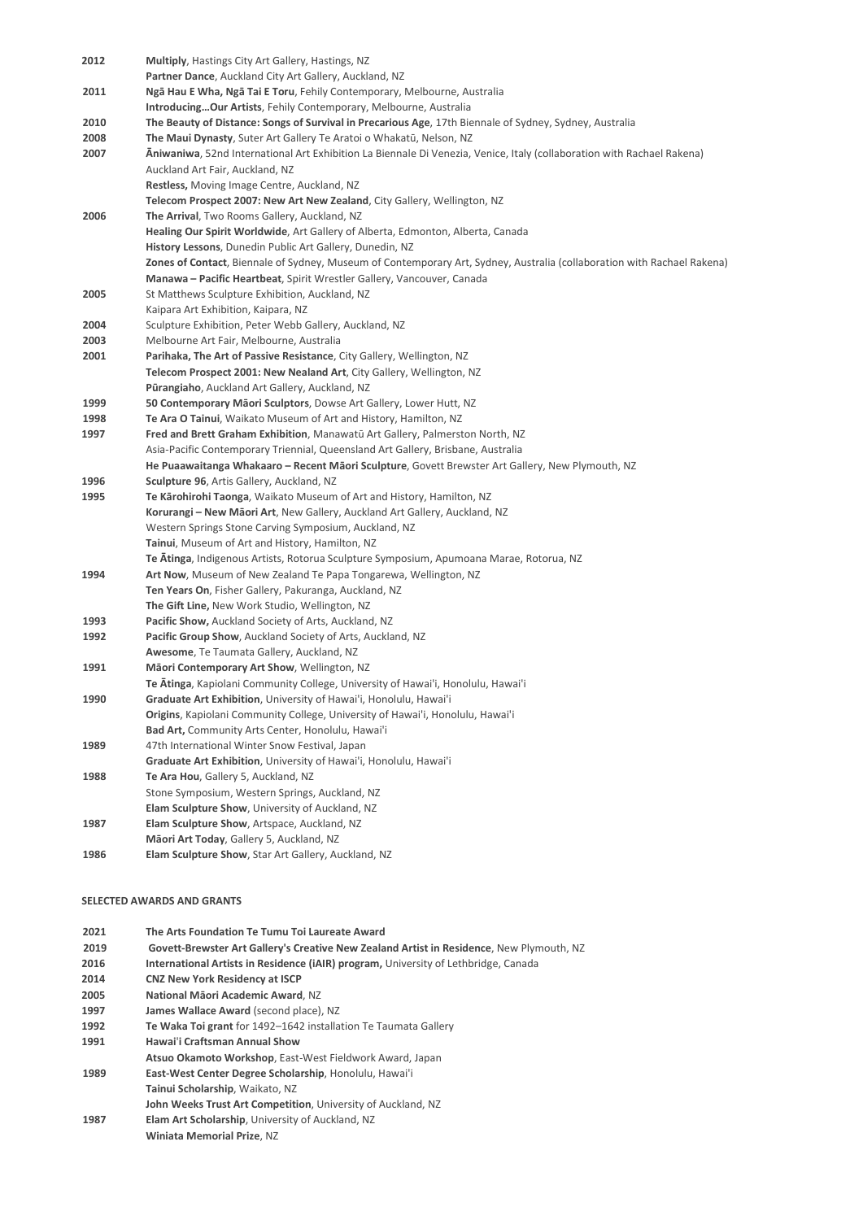| 2012                              | Multiply, Hastings City Art Gallery, Hastings, NZ                                                                       |  |
|-----------------------------------|-------------------------------------------------------------------------------------------------------------------------|--|
|                                   | Partner Dance, Auckland City Art Gallery, Auckland, NZ                                                                  |  |
| 2011                              | Ngā Hau E Wha, Ngā Tai E Toru, Fehily Contemporary, Melbourne, Australia                                                |  |
|                                   | Introducing Our Artists, Fehily Contemporary, Melbourne, Australia                                                      |  |
| 2010                              | The Beauty of Distance: Songs of Survival in Precarious Age, 17th Biennale of Sydney, Sydney, Australia                 |  |
| 2008                              | The Maui Dynasty, Suter Art Gallery Te Aratoi o Whakatū, Nelson, NZ                                                     |  |
| 2007                              | Aniwaniwa, 52nd International Art Exhibition La Biennale Di Venezia, Venice, Italy (collaboration with Rachael Rakena)  |  |
|                                   | Auckland Art Fair, Auckland, NZ                                                                                         |  |
|                                   | Restless, Moving Image Centre, Auckland, NZ                                                                             |  |
|                                   | Telecom Prospect 2007: New Art New Zealand, City Gallery, Wellington, NZ                                                |  |
| 2006                              | The Arrival, Two Rooms Gallery, Auckland, NZ                                                                            |  |
|                                   | Healing Our Spirit Worldwide, Art Gallery of Alberta, Edmonton, Alberta, Canada                                         |  |
|                                   | History Lessons, Dunedin Public Art Gallery, Dunedin, NZ                                                                |  |
|                                   | Zones of Contact, Biennale of Sydney, Museum of Contemporary Art, Sydney, Australia (collaboration with Rachael Rakena) |  |
|                                   | Manawa - Pacific Heartbeat, Spirit Wrestler Gallery, Vancouver, Canada                                                  |  |
| 2005                              | St Matthews Sculpture Exhibition, Auckland, NZ                                                                          |  |
|                                   | Kaipara Art Exhibition, Kaipara, NZ                                                                                     |  |
| 2004                              | Sculpture Exhibition, Peter Webb Gallery, Auckland, NZ                                                                  |  |
| 2003                              | Melbourne Art Fair, Melbourne, Australia                                                                                |  |
| 2001                              | Parihaka, The Art of Passive Resistance, City Gallery, Wellington, NZ                                                   |  |
|                                   | Telecom Prospect 2001: New Nealand Art, City Gallery, Wellington, NZ                                                    |  |
|                                   | Pūrangiaho, Auckland Art Gallery, Auckland, NZ                                                                          |  |
| 1999                              | 50 Contemporary Māori Sculptors, Dowse Art Gallery, Lower Hutt, NZ                                                      |  |
| 1998                              | Te Ara O Tainui, Waikato Museum of Art and History, Hamilton, NZ                                                        |  |
| 1997                              | Fred and Brett Graham Exhibition, Manawatū Art Gallery, Palmerston North, NZ                                            |  |
|                                   | Asia-Pacific Contemporary Triennial, Queensland Art Gallery, Brisbane, Australia                                        |  |
|                                   | He Puaawaitanga Whakaaro - Recent Māori Sculpture, Govett Brewster Art Gallery, New Plymouth, NZ                        |  |
| 1996                              | Sculpture 96, Artis Gallery, Auckland, NZ                                                                               |  |
| 1995                              | Te Karohirohi Taonga, Waikato Museum of Art and History, Hamilton, NZ                                                   |  |
|                                   | Korurangi – New Māori Art, New Gallery, Auckland Art Gallery, Auckland, NZ                                              |  |
|                                   | Western Springs Stone Carving Symposium, Auckland, NZ<br>Tainui, Museum of Art and History, Hamilton, NZ                |  |
|                                   | Te Atinga, Indigenous Artists, Rotorua Sculpture Symposium, Apumoana Marae, Rotorua, NZ                                 |  |
| 1994                              | Art Now, Museum of New Zealand Te Papa Tongarewa, Wellington, NZ                                                        |  |
|                                   | Ten Years On, Fisher Gallery, Pakuranga, Auckland, NZ                                                                   |  |
|                                   | The Gift Line, New Work Studio, Wellington, NZ                                                                          |  |
| 1993                              | Pacific Show, Auckland Society of Arts, Auckland, NZ                                                                    |  |
| 1992                              | Pacific Group Show, Auckland Society of Arts, Auckland, NZ                                                              |  |
|                                   | Awesome, Te Taumata Gallery, Auckland, NZ                                                                               |  |
| 1991                              | Māori Contemporary Art Show, Wellington, NZ                                                                             |  |
|                                   | Te Atinga, Kapiolani Community College, University of Hawai'i, Honolulu, Hawai'i                                        |  |
| 1990                              | Graduate Art Exhibition, University of Hawai'i, Honolulu, Hawai'i                                                       |  |
|                                   | <b>Origins</b> , Kapiolani Community College, University of Hawai'i, Honolulu, Hawai'i                                  |  |
|                                   | Bad Art, Community Arts Center, Honolulu, Hawai'i                                                                       |  |
| 1989                              | 47th International Winter Snow Festival, Japan                                                                          |  |
|                                   | Graduate Art Exhibition, University of Hawai'i, Honolulu, Hawai'i                                                       |  |
| 1988                              | Te Ara Hou, Gallery 5, Auckland, NZ                                                                                     |  |
|                                   | Stone Symposium, Western Springs, Auckland, NZ                                                                          |  |
|                                   | Elam Sculpture Show, University of Auckland, NZ                                                                         |  |
| 1987                              | Elam Sculpture Show, Artspace, Auckland, NZ                                                                             |  |
|                                   | Māori Art Today, Gallery 5, Auckland, NZ                                                                                |  |
| 1986                              | Elam Sculpture Show, Star Art Gallery, Auckland, NZ                                                                     |  |
|                                   |                                                                                                                         |  |
|                                   |                                                                                                                         |  |
| <b>SELECTED AWARDS AND GRANTS</b> |                                                                                                                         |  |

| 2021 | The Arts Foundation Te Tumu Toi Laureate Award                                           |
|------|------------------------------------------------------------------------------------------|
| 2019 | Govett-Brewster Art Gallery's Creative New Zealand Artist in Residence, New Plymouth, NZ |
| 2016 | International Artists in Residence (iAIR) program, University of Lethbridge, Canada      |
| 2014 | <b>CNZ New York Residency at ISCP</b>                                                    |
| 2005 | National Māori Academic Award, NZ                                                        |
| 1997 | James Wallace Award (second place), NZ                                                   |
| 1992 | Te Waka Toi grant for 1492–1642 installation Te Taumata Gallery                          |
| 1991 | Hawai'i Craftsman Annual Show                                                            |
|      | Atsuo Okamoto Workshop, East-West Fieldwork Award, Japan                                 |
| 1989 | East-West Center Degree Scholarship, Honolulu, Hawai'i                                   |
|      | Tainui Scholarship. Waikato. NZ                                                          |
|      | John Weeks Trust Art Competition, University of Auckland, NZ                             |
| 1987 | Elam Art Scholarship, University of Auckland, NZ                                         |
|      | <b>Winiata Memorial Prize, NZ</b>                                                        |